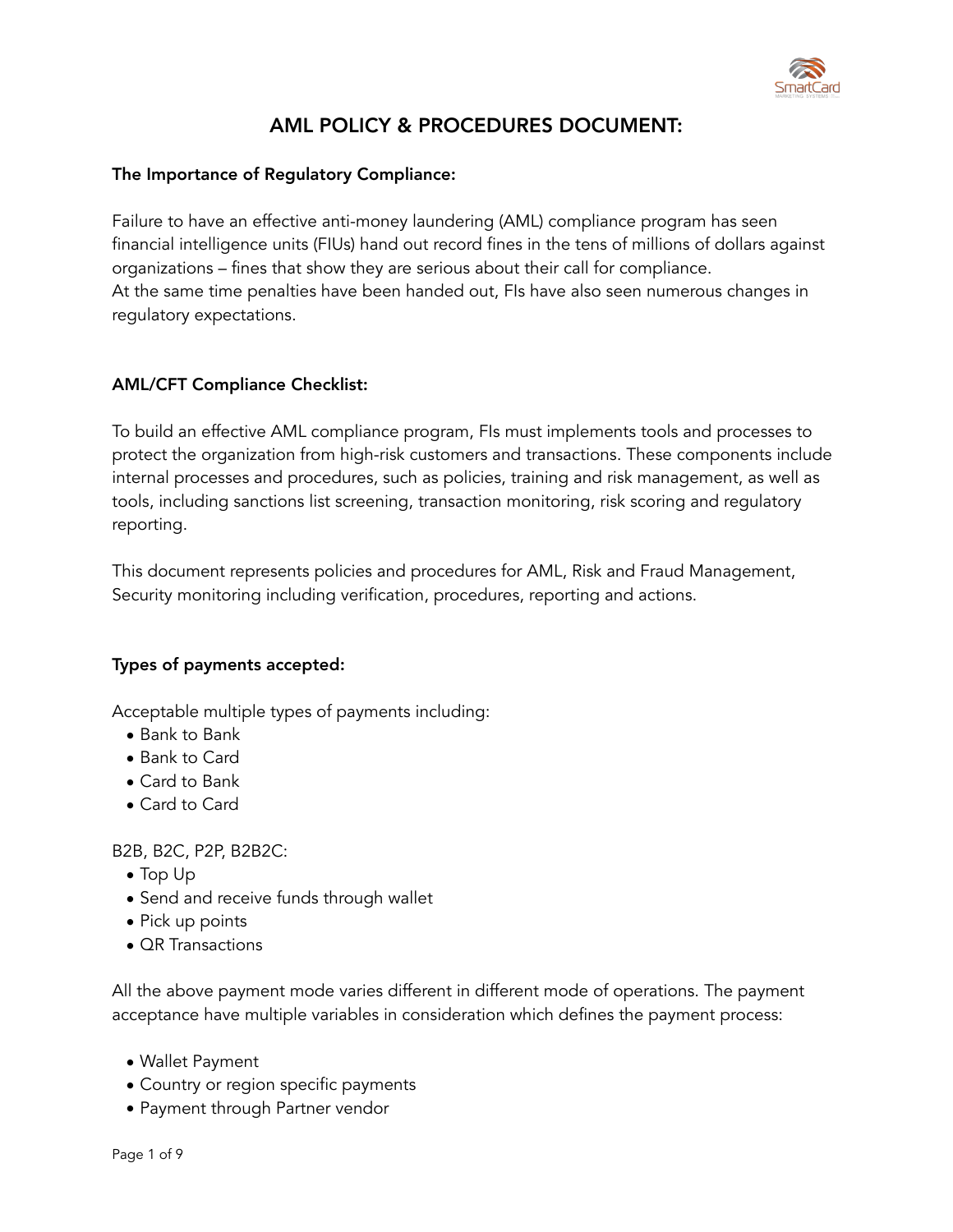

# AML POLICY & PROCEDURES DOCUMENT:

## The Importance of Regulatory Compliance:

Failure to have an effective anti-money laundering (AML) compliance program has seen financial intelligence units (FIUs) hand out record fines in the tens of millions of dollars against organizations – fines that show they are serious about their call for compliance. At the same time penalties have been handed out, FIs have also seen numerous changes in regulatory expectations.

## AML/CFT Compliance Checklist:

To build an effective AML compliance program, FIs must implements tools and processes to protect the organization from high-risk customers and transactions. These components include internal processes and procedures, such as policies, training and risk management, as well as tools, including sanctions list screening, transaction monitoring, risk scoring and regulatory reporting.

This document represents policies and procedures for AML, Risk and Fraud Management, Security monitoring including verification, procedures, reporting and actions.

## Types of payments accepted:

Acceptable multiple types of payments including:

- Bank to Bank
- Bank to Card
- Card to Bank
- Card to Card

B2B, B2C, P2P, B2B2C:

- Top Up
- Send and receive funds through wallet
- Pick up points
- **QR** Transactions

All the above payment mode varies different in different mode of operations. The payment acceptance have multiple variables in consideration which defines the payment process:

- Wallet Payment
- Country or region specific payments
- Payment through Partner vendor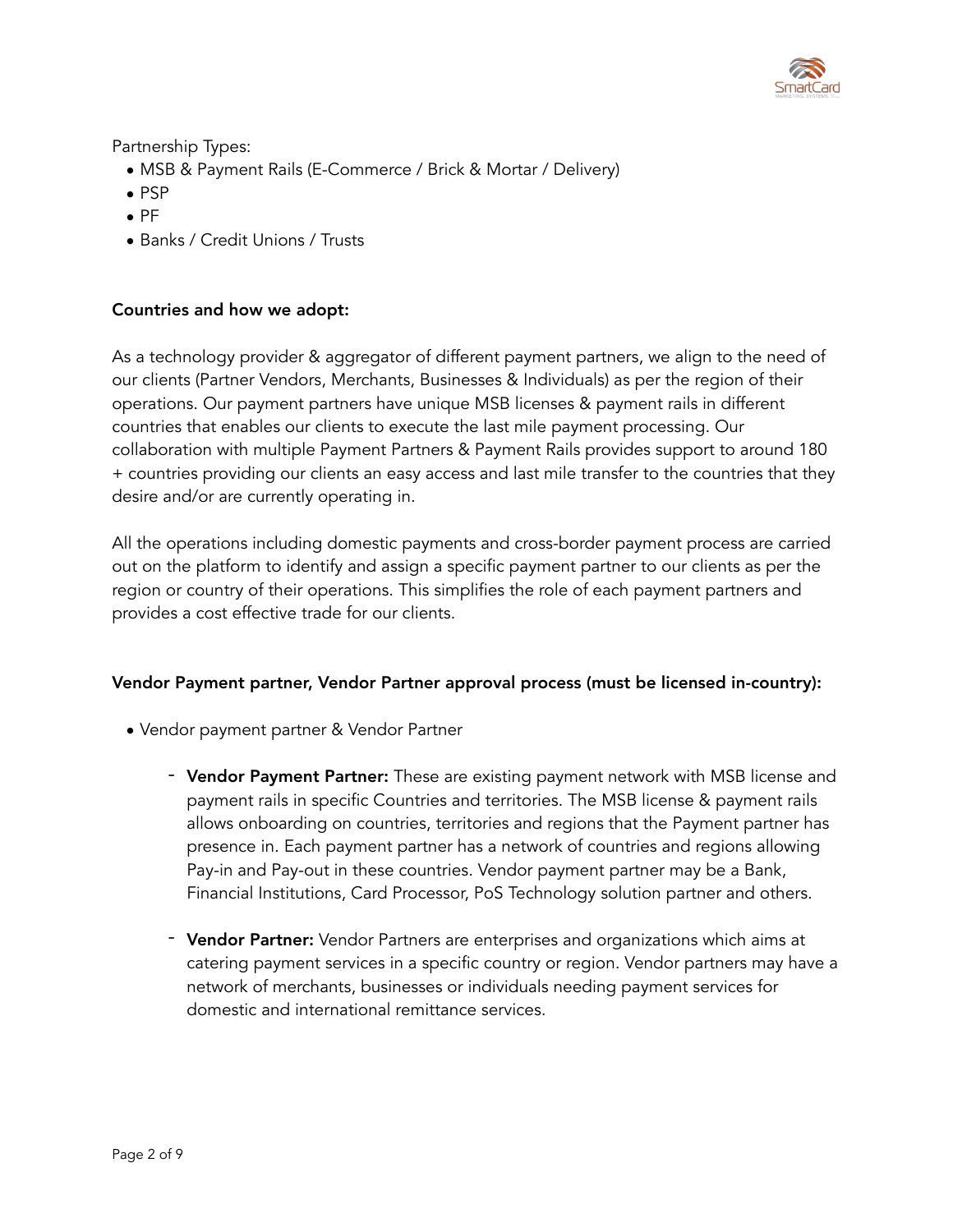

Partnership Types:

- MSB & Payment Rails (E-Commerce / Brick & Mortar / Delivery)
- PSP
- PF
- Banks / Credit Unions / Trusts

## Countries and how we adopt:

As a technology provider & aggregator of different payment partners, we align to the need of our clients (Partner Vendors, Merchants, Businesses & Individuals) as per the region of their operations. Our payment partners have unique MSB licenses & payment rails in different countries that enables our clients to execute the last mile payment processing. Our collaboration with multiple Payment Partners & Payment Rails provides support to around 180 + countries providing our clients an easy access and last mile transfer to the countries that they desire and/or are currently operating in.

All the operations including domestic payments and cross-border payment process are carried out on the platform to identify and assign a specific payment partner to our clients as per the region or country of their operations. This simplifies the role of each payment partners and provides a cost effective trade for our clients.

## Vendor Payment partner, Vendor Partner approval process (must be licensed in-country):

- Vendor payment partner & Vendor Partner
	- Vendor Payment Partner: These are existing payment network with MSB license and payment rails in specific Countries and territories. The MSB license & payment rails allows onboarding on countries, territories and regions that the Payment partner has presence in. Each payment partner has a network of countries and regions allowing Pay-in and Pay-out in these countries. Vendor payment partner may be a Bank, Financial Institutions, Card Processor, PoS Technology solution partner and others.
	- Vendor Partner: Vendor Partners are enterprises and organizations which aims at catering payment services in a specific country or region. Vendor partners may have a network of merchants, businesses or individuals needing payment services for domestic and international remittance services.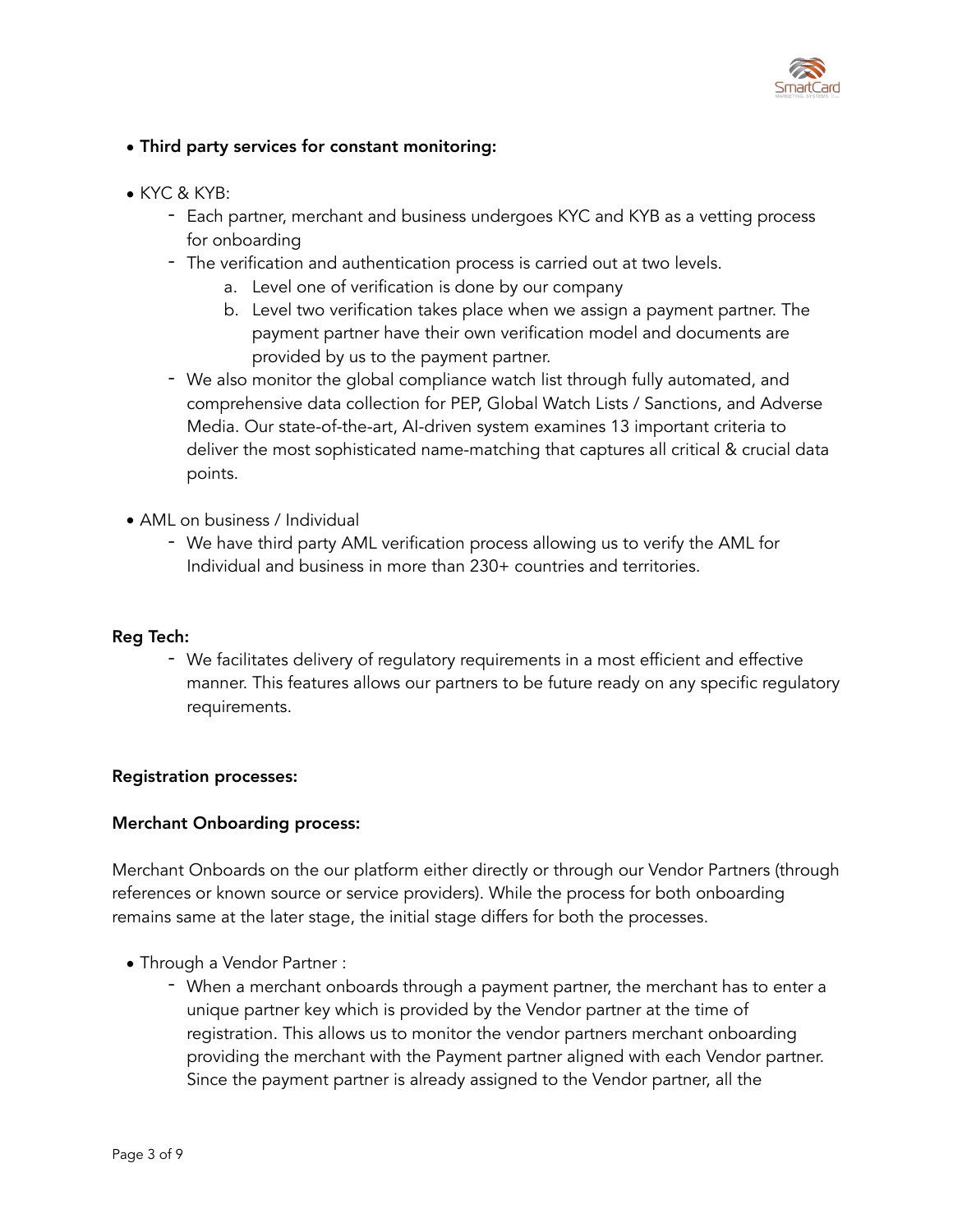

# • Third party services for constant monitoring:

- KYC & KYB:
	- Each partner, merchant and business undergoes KYC and KYB as a vetting process for onboarding
	- The verification and authentication process is carried out at two levels.
		- a. Level one of verification is done by our company
		- b. Level two verification takes place when we assign a payment partner. The payment partner have their own verification model and documents are provided by us to the payment partner.
	- We also monitor the global compliance watch list through fully automated, and comprehensive data collection for PEP, Global Watch Lists / Sanctions, and Adverse Media. Our state-of-the-art, AI-driven system examines 13 important criteria to deliver the most sophisticated name-matching that captures all critical & crucial data points.
- AML on business / Individual
	- We have third party AML verification process allowing us to verify the AML for Individual and business in more than 230+ countries and territories.

## Reg Tech:

- We facilitates delivery of regulatory requirements in a most efficient and effective manner. This features allows our partners to be future ready on any specific regulatory requirements.

## Registration processes:

#### Merchant Onboarding process:

Merchant Onboards on the our platform either directly or through our Vendor Partners (through references or known source or service providers). While the process for both onboarding remains same at the later stage, the initial stage differs for both the processes.

- Through a Vendor Partner :
	- When a merchant onboards through a payment partner, the merchant has to enter a unique partner key which is provided by the Vendor partner at the time of registration. This allows us to monitor the vendor partners merchant onboarding providing the merchant with the Payment partner aligned with each Vendor partner. Since the payment partner is already assigned to the Vendor partner, all the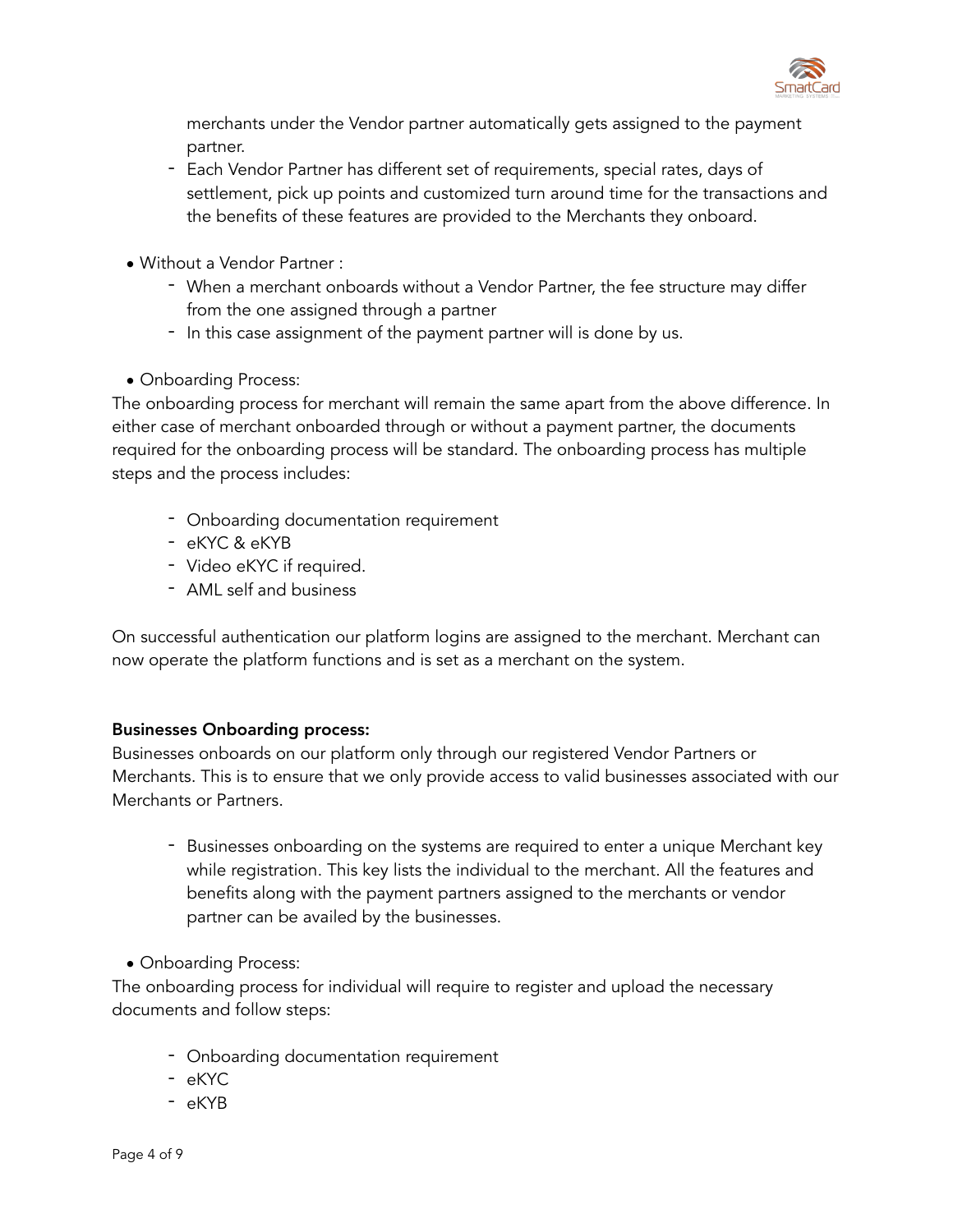

merchants under the Vendor partner automatically gets assigned to the payment partner.

- Each Vendor Partner has different set of requirements, special rates, days of settlement, pick up points and customized turn around time for the transactions and the benefits of these features are provided to the Merchants they onboard.
- Without a Vendor Partner :
	- When a merchant onboards without a Vendor Partner, the fee structure may differ from the one assigned through a partner
	- In this case assignment of the payment partner will is done by us.
- Onboarding Process:

The onboarding process for merchant will remain the same apart from the above difference. In either case of merchant onboarded through or without a payment partner, the documents required for the onboarding process will be standard. The onboarding process has multiple steps and the process includes:

- Onboarding documentation requirement
- eKYC & eKYB
- Video eKYC if required.
- AML self and business

On successful authentication our platform logins are assigned to the merchant. Merchant can now operate the platform functions and is set as a merchant on the system.

# Businesses Onboarding process:

Businesses onboards on our platform only through our registered Vendor Partners or Merchants. This is to ensure that we only provide access to valid businesses associated with our Merchants or Partners.

- Businesses onboarding on the systems are required to enter a unique Merchant key while registration. This key lists the individual to the merchant. All the features and benefits along with the payment partners assigned to the merchants or vendor partner can be availed by the businesses.
- Onboarding Process:

The onboarding process for individual will require to register and upload the necessary documents and follow steps:

- Onboarding documentation requirement
- eKYC
- eKYB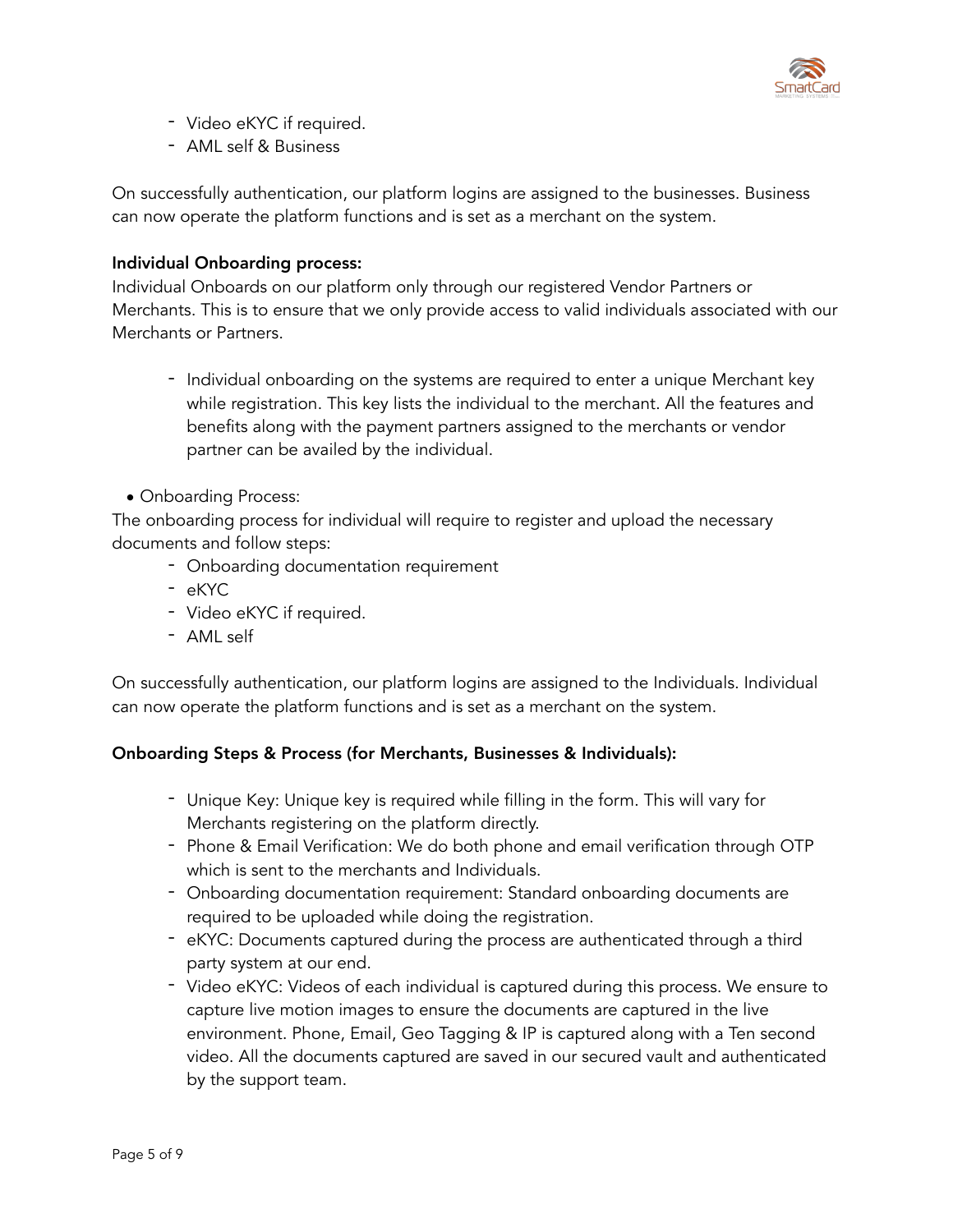

- Video eKYC if required.
- AML self & Business

On successfully authentication, our platform logins are assigned to the businesses. Business can now operate the platform functions and is set as a merchant on the system.

#### Individual Onboarding process:

Individual Onboards on our platform only through our registered Vendor Partners or Merchants. This is to ensure that we only provide access to valid individuals associated with our Merchants or Partners.

- Individual onboarding on the systems are required to enter a unique Merchant key while registration. This key lists the individual to the merchant. All the features and benefits along with the payment partners assigned to the merchants or vendor partner can be availed by the individual.
- Onboarding Process:

The onboarding process for individual will require to register and upload the necessary documents and follow steps:

- Onboarding documentation requirement
- eKYC
- Video eKYC if required.
- AML self

On successfully authentication, our platform logins are assigned to the Individuals. Individual can now operate the platform functions and is set as a merchant on the system.

## Onboarding Steps & Process (for Merchants, Businesses & Individuals):

- Unique Key: Unique key is required while filling in the form. This will vary for Merchants registering on the platform directly.
- Phone & Email Verification: We do both phone and email verification through OTP which is sent to the merchants and Individuals.
- Onboarding documentation requirement: Standard onboarding documents are required to be uploaded while doing the registration.
- eKYC: Documents captured during the process are authenticated through a third party system at our end.
- Video eKYC: Videos of each individual is captured during this process. We ensure to capture live motion images to ensure the documents are captured in the live environment. Phone, Email, Geo Tagging & IP is captured along with a Ten second video. All the documents captured are saved in our secured vault and authenticated by the support team.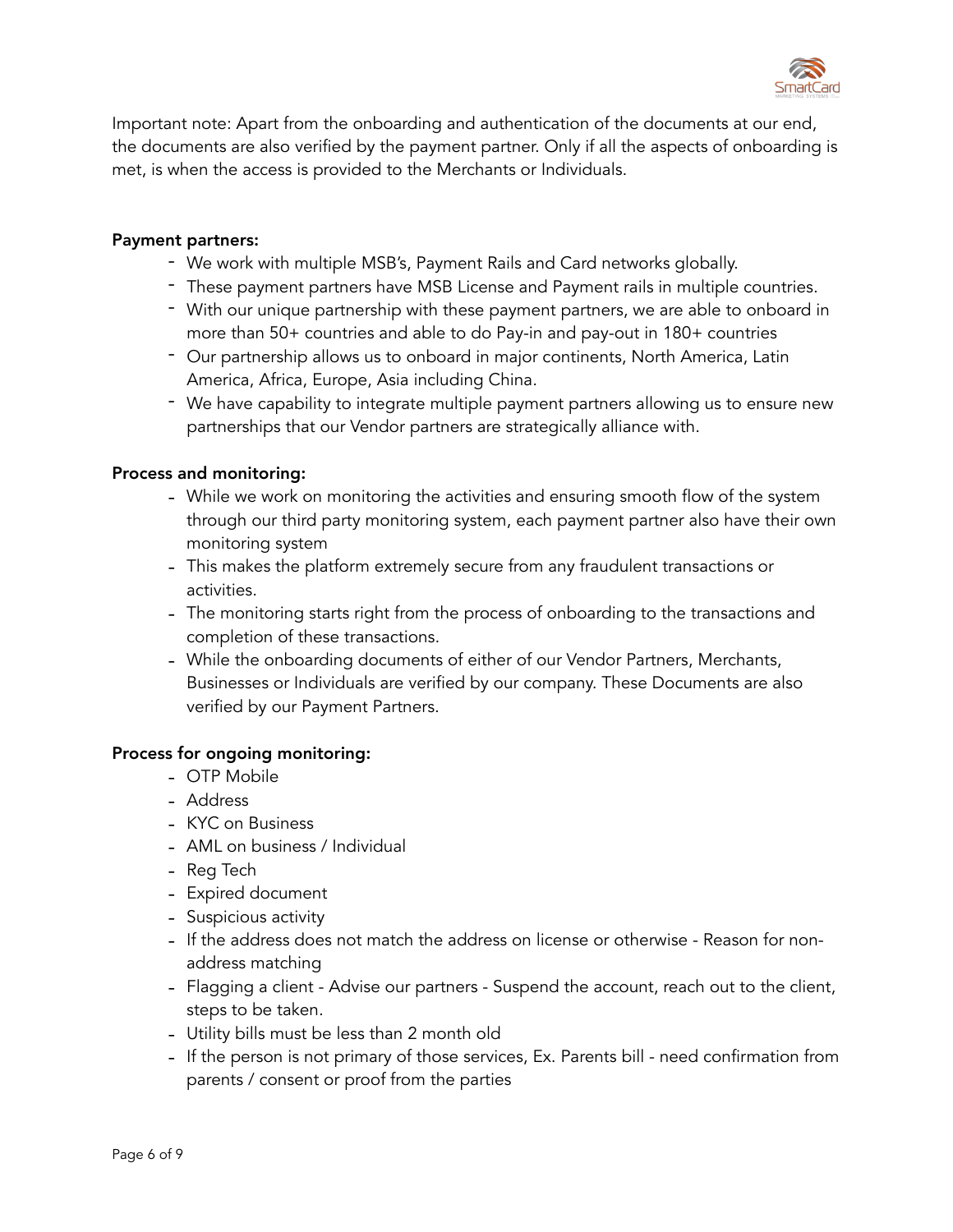

Important note: Apart from the onboarding and authentication of the documents at our end, the documents are also verified by the payment partner. Only if all the aspects of onboarding is met, is when the access is provided to the Merchants or Individuals.

#### Payment partners:

- We work with multiple MSB's, Payment Rails and Card networks globally.
- These payment partners have MSB License and Payment rails in multiple countries.
- With our unique partnership with these payment partners, we are able to onboard in more than 50+ countries and able to do Pay-in and pay-out in 180+ countries
- Our partnership allows us to onboard in major continents, North America, Latin America, Africa, Europe, Asia including China.
- We have capability to integrate multiple payment partners allowing us to ensure new partnerships that our Vendor partners are strategically alliance with.

#### Process and monitoring:

- While we work on monitoring the activities and ensuring smooth flow of the system through our third party monitoring system, each payment partner also have their own monitoring system
- This makes the platform extremely secure from any fraudulent transactions or activities.
- The monitoring starts right from the process of onboarding to the transactions and completion of these transactions.
- While the onboarding documents of either of our Vendor Partners, Merchants, Businesses or Individuals are verified by our company. These Documents are also verified by our Payment Partners.

#### Process for ongoing monitoring:

- OTP Mobile
- Address
- KYC on Business
- AML on business / Individual
- Reg Tech
- Expired document
- Suspicious activity
- If the address does not match the address on license or otherwise Reason for nonaddress matching
- Flagging a client Advise our partners Suspend the account, reach out to the client, steps to be taken.
- Utility bills must be less than 2 month old
- If the person is not primary of those services, Ex. Parents bill need confirmation from parents / consent or proof from the parties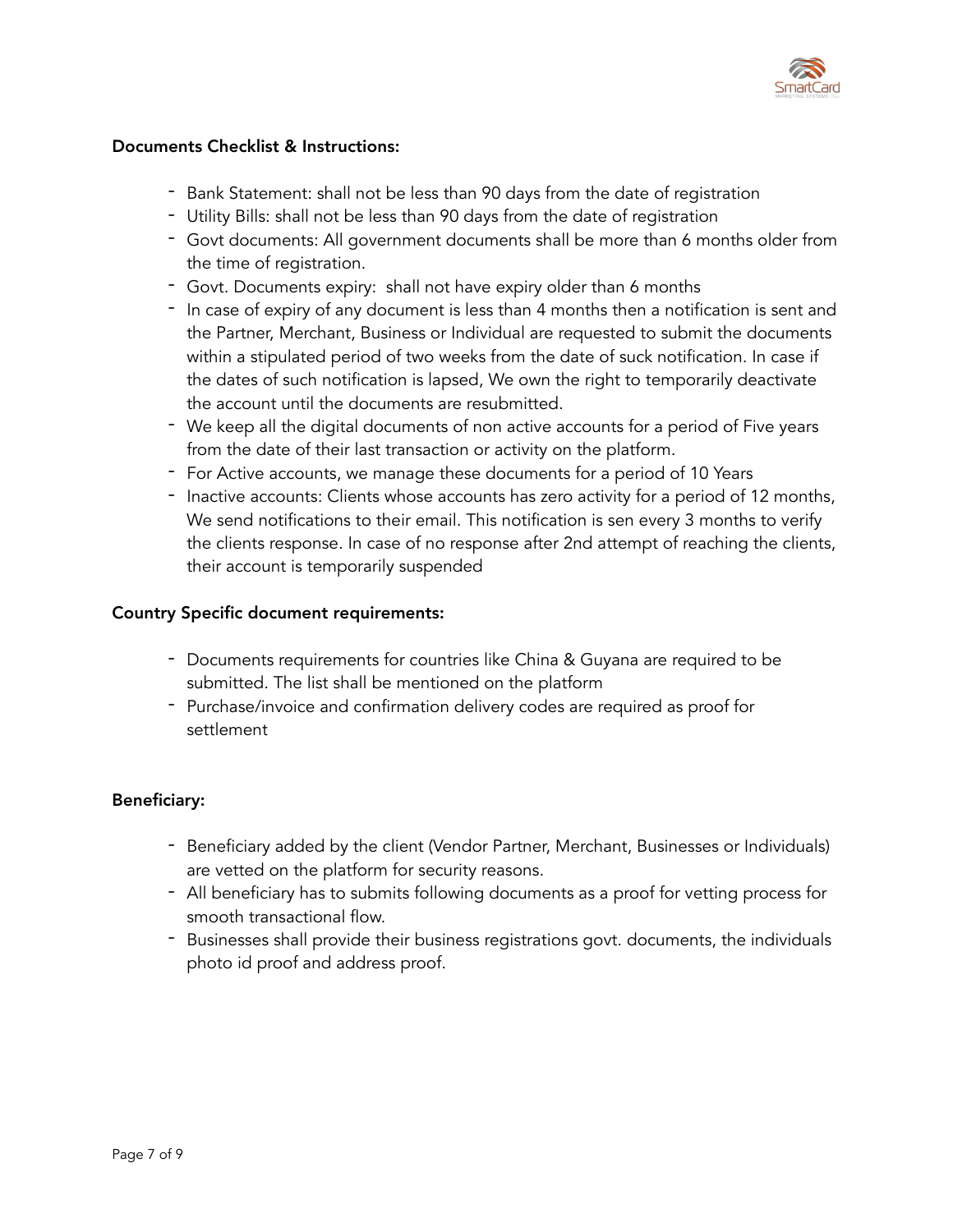

## Documents Checklist & Instructions:

- Bank Statement: shall not be less than 90 days from the date of registration
- Utility Bills: shall not be less than 90 days from the date of registration
- Govt documents: All government documents shall be more than 6 months older from the time of registration.
- Govt. Documents expiry: shall not have expiry older than 6 months
- In case of expiry of any document is less than 4 months then a notification is sent and the Partner, Merchant, Business or Individual are requested to submit the documents within a stipulated period of two weeks from the date of suck notification. In case if the dates of such notification is lapsed, We own the right to temporarily deactivate the account until the documents are resubmitted.
- We keep all the digital documents of non active accounts for a period of Five years from the date of their last transaction or activity on the platform.
- For Active accounts, we manage these documents for a period of 10 Years
- Inactive accounts: Clients whose accounts has zero activity for a period of 12 months, We send notifications to their email. This notification is sen every 3 months to verify the clients response. In case of no response after 2nd attempt of reaching the clients, their account is temporarily suspended

#### Country Specific document requirements:

- Documents requirements for countries like China & Guyana are required to be submitted. The list shall be mentioned on the platform
- Purchase/invoice and confirmation delivery codes are required as proof for settlement

## Beneficiary:

- Beneficiary added by the client (Vendor Partner, Merchant, Businesses or Individuals) are vetted on the platform for security reasons.
- All beneficiary has to submits following documents as a proof for vetting process for smooth transactional flow.
- Businesses shall provide their business registrations govt. documents, the individuals photo id proof and address proof.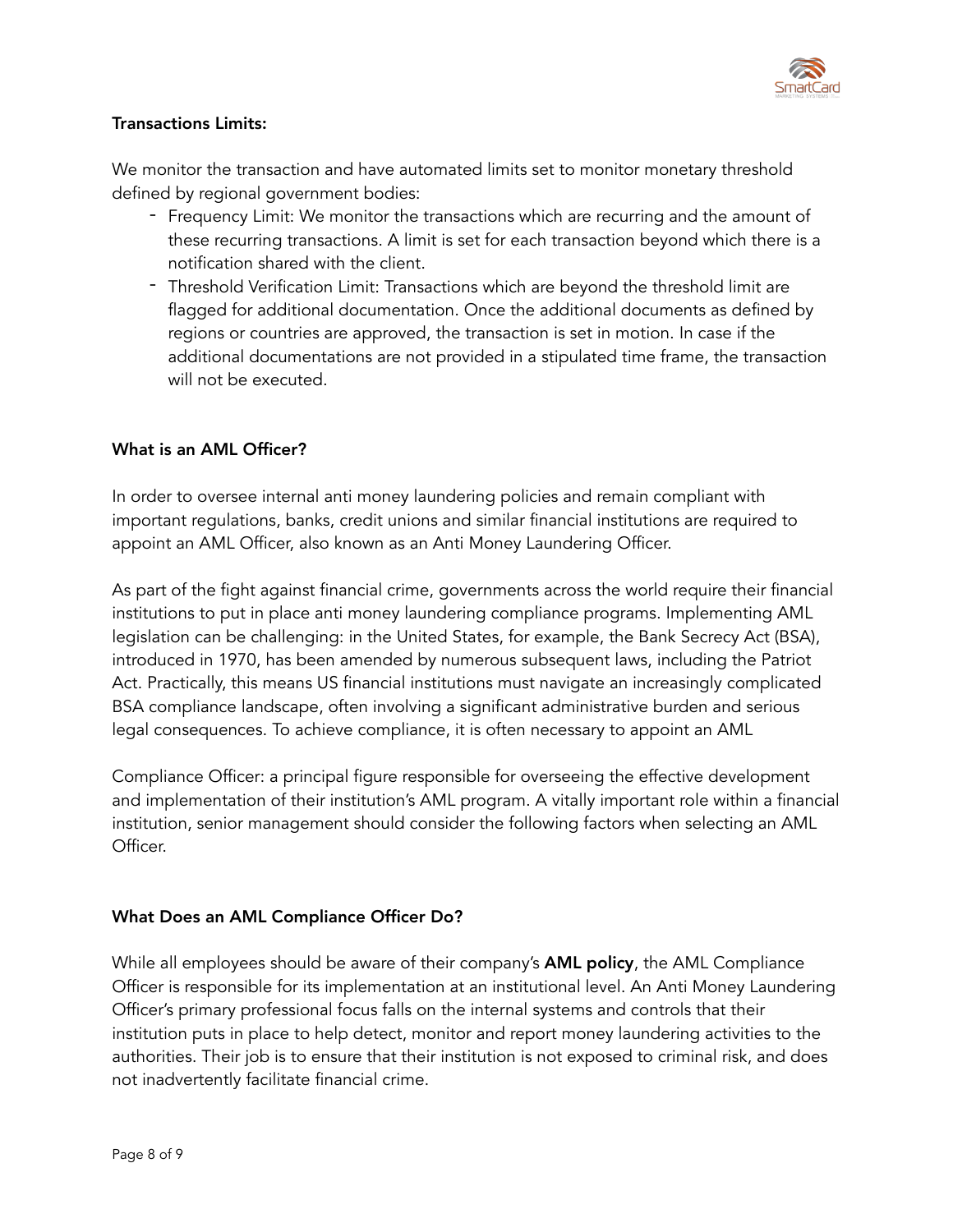

# Transactions Limits:

We monitor the transaction and have automated limits set to monitor monetary threshold defined by regional government bodies:

- Frequency Limit: We monitor the transactions which are recurring and the amount of these recurring transactions. A limit is set for each transaction beyond which there is a notification shared with the client.
- Threshold Verification Limit: Transactions which are beyond the threshold limit are flagged for additional documentation. Once the additional documents as defined by regions or countries are approved, the transaction is set in motion. In case if the additional documentations are not provided in a stipulated time frame, the transaction will not be executed.

## What is an AML Officer?

In order to oversee internal anti money laundering policies and remain compliant with important regulations, banks, credit unions and similar financial institutions are required to appoint an AML Officer, also known as an Anti Money Laundering Officer.

As part of the fight against financial crime, governments across the world require their financial institutions to put in place anti money laundering compliance programs. Implementing AML legislation can be challenging: in the United States, for example, the Bank Secrecy Act (BSA), introduced in 1970, has been amended by numerous subsequent laws, including the Patriot Act. Practically, this means US financial institutions must navigate an increasingly complicated BSA compliance landscape, often involving a significant administrative burden and serious legal consequences. To achieve compliance, it is often necessary to appoint an AML

Compliance Officer: a principal figure responsible for overseeing the effective development and implementation of their institution's AML program. A vitally important role within a financial institution, senior management should consider the following factors when selecting an AML Officer.

## What Does an AML Compliance Officer Do?

While all employees should be aware of their company's **AML policy**, the AML Compliance Officer is responsible for its implementation at an institutional level. An Anti Money Laundering Officer's primary professional focus falls on the internal systems and controls that their institution puts in place to help detect, monitor and report money laundering activities to the authorities. Their job is to ensure that their institution is not exposed to criminal risk, and does not inadvertently facilitate financial crime.